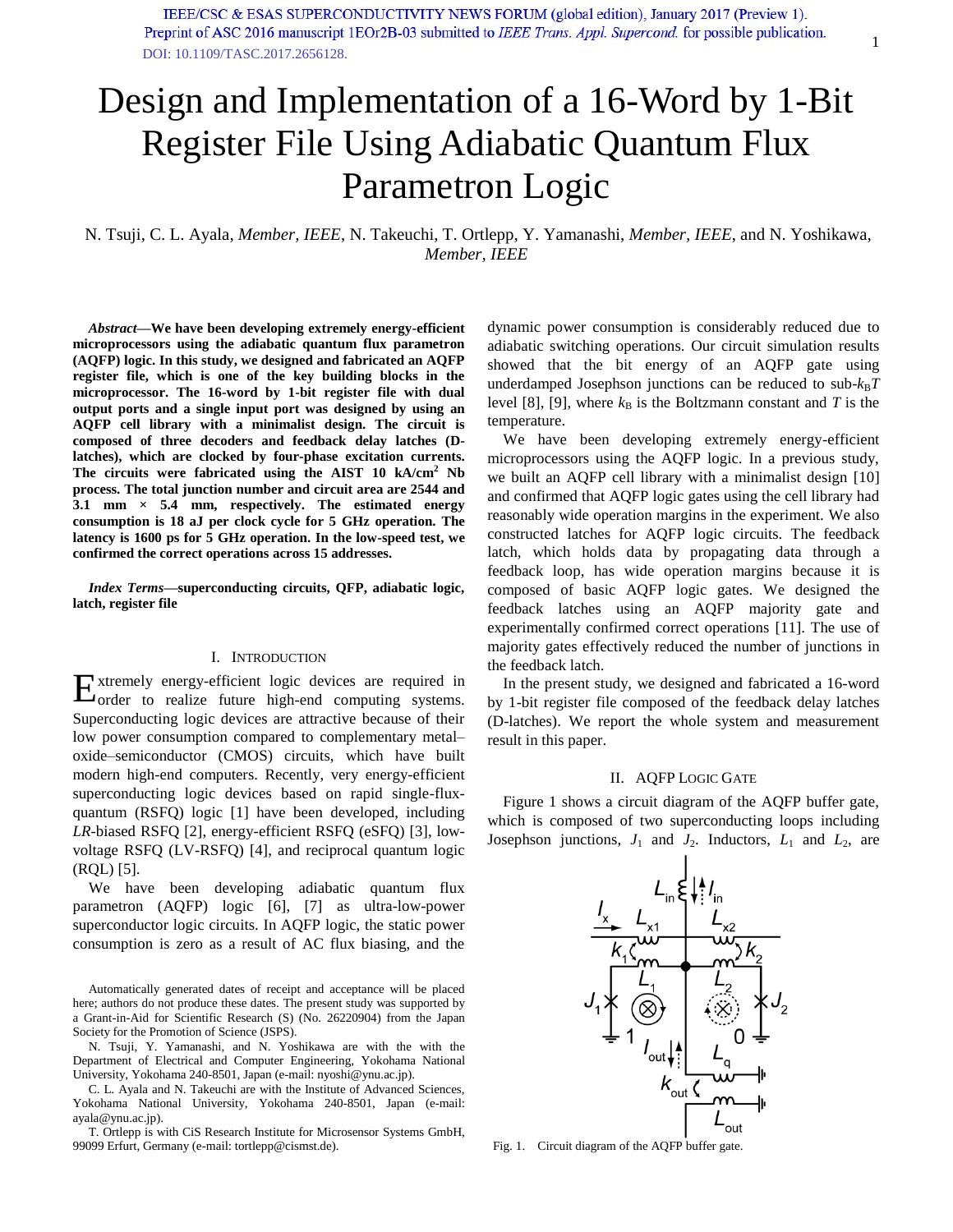# Design and Implementation of a 16-Word by 1-Bit Register File Using Adiabatic Quantum Flux Parametron Logic

N. Tsuji, C. L. Ayala, *Member, IEEE*, N. Takeuchi, T. Ortlepp, Y. Yamanashi, *Member, IEEE*, and N. Yoshikawa, *Member, IEEE* 

*Abstract***—We have been developing extremely energy-efficient microprocessors using the adiabatic quantum flux parametron (AQFP) logic. In this study, we designed and fabricated an AQFP register file, which is one of the key building blocks in the microprocessor. The 16-word by 1-bit register file with dual output ports and a single input port was designed by using an AQFP cell library with a minimalist design. The circuit is composed of three decoders and feedback delay latches (Dlatches), which are clocked by four-phase excitation currents. The circuits were fabricated using the AIST 10 kA/cm<sup>2</sup> Nb process. The total junction number and circuit area are 2544 and 3.1 mm × 5.4 mm, respectively. The estimated energy consumption is 18 aJ per clock cycle for 5 GHz operation. The latency is 1600 ps for 5 GHz operation. In the low-speed test, we confirmed the correct operations across 15 addresses.** 

*Index Terms***—superconducting circuits, QFP, adiabatic logic, latch, register file** 

## I. INTRODUCTION

xtremely energy-efficient logic devices are required in  $E_{\text{order}}$  to realize future high-end computing systems. Superconducting logic devices are attractive because of their low power consumption compared to complementary metal– oxide–semiconductor (CMOS) circuits, which have built modern high-end computers. Recently, very energy-efficient superconducting logic devices based on rapid single-fluxquantum (RSFQ) logic [1] have been developed, including *LR*-biased RSFQ [2], energy-efficient RSFQ (eSFQ) [3], lowvoltage RSFQ (LV-RSFQ) [4], and reciprocal quantum logic (RQL) [5].

We have been developing adiabatic quantum flux parametron (AQFP) logic [6], [7] as ultra-low-power superconductor logic circuits. In AQFP logic, the static power consumption is zero as a result of AC flux biasing, and the

Automatically generated dates of receipt and acceptance will be placed here; authors do not produce these dates. The present study was supported by a Grant-in-Aid for Scientific Research (S) (No. 26220904) from the Japan Society for the Promotion of Science (JSPS).

N. Tsuji, Y. Yamanashi, and N. Yoshikawa are with the with the Department of Electrical and Computer Engineering, Yokohama National University, Yokohama 240-8501, Japan (e-mail: nyoshi@ynu.ac.jp).

C. L. Ayala and N. Takeuchi are with the Institute of Advanced Sciences, Yokohama National University, Yokohama 240-8501, Japan (e-mail: ayala@ynu.ac.jp).

T. Ortlepp is with CiS Research Institute for Microsensor Systems GmbH, 99099 Erfurt, Germany (e-mail: tortlepp@cismst.de).

dynamic power consumption is considerably reduced due to adiabatic switching operations. Our circuit simulation results showed that the bit energy of an AQFP gate using underdamped Josephson junctions can be reduced to  $sub-k_BT$ level [8], [9], where  $k_B$  is the Boltzmann constant and *T* is the temperature.

We have been developing extremely energy-efficient microprocessors using the AQFP logic. In a previous study, we built an AQFP cell library with a minimalist design [10] and confirmed that AQFP logic gates using the cell library had reasonably wide operation margins in the experiment. We also constructed latches for AQFP logic circuits. The feedback latch, which holds data by propagating data through a feedback loop, has wide operation margins because it is composed of basic AQFP logic gates. We designed the feedback latches using an AQFP majority gate and experimentally confirmed correct operations [11]. The use of majority gates effectively reduced the number of junctions in the feedback latch.

In the present study, we designed and fabricated a 16-word by 1-bit register file composed of the feedback delay latches (D-latches). We report the whole system and measurement result in this paper.

## II. AQFP LOGIC GATE

Figure 1 shows a circuit diagram of the AQFP buffer gate, which is composed of two superconducting loops including Josephson junctions,  $J_1$  and  $J_2$ . Inductors,  $L_1$  and  $L_2$ , are



Fig. 1. Circuit diagram of the AQFP buffer gate.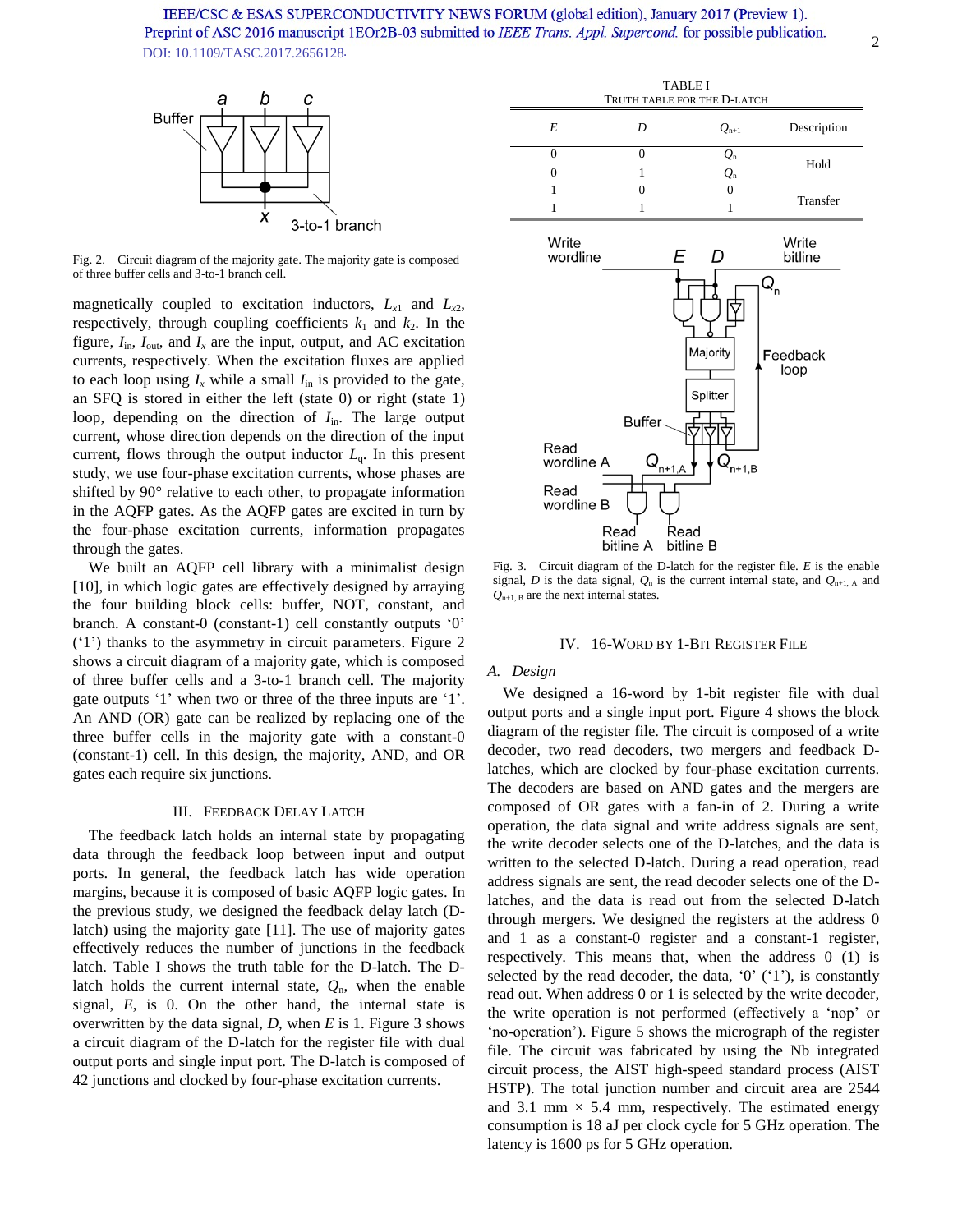

Fig. 2. Circuit diagram of the majority gate. The majority gate is composed of three buffer cells and 3-to-1 branch cell.

magnetically coupled to excitation inductors,  $L_{x1}$  and  $L_{x2}$ , respectively, through coupling coefficients  $k_1$  and  $k_2$ . In the figure,  $I_{\text{in}}$ ,  $I_{\text{out}}$ , and  $I_x$  are the input, output, and AC excitation currents, respectively. When the excitation fluxes are applied to each loop using  $I_x$  while a small  $I_{in}$  is provided to the gate, an SFQ is stored in either the left (state 0) or right (state 1) loop, depending on the direction of  $I_{\text{in}}$ . The large output current, whose direction depends on the direction of the input current, flows through the output inductor  $L<sub>q</sub>$ . In this present study, we use four-phase excitation currents, whose phases are shifted by 90° relative to each other, to propagate information in the AQFP gates. As the AQFP gates are excited in turn by the four-phase excitation currents, information propagates through the gates.

We built an AQFP cell library with a minimalist design [10], in which logic gates are effectively designed by arraying the four building block cells: buffer, NOT, constant, and branch. A constant-0 (constant-1) cell constantly outputs '0' ('1') thanks to the asymmetry in circuit parameters. Figure 2 shows a circuit diagram of a majority gate, which is composed of three buffer cells and a 3-to-1 branch cell. The majority gate outputs '1' when two or three of the three inputs are '1'. An AND (OR) gate can be realized by replacing one of the three buffer cells in the majority gate with a constant-0 (constant-1) cell. In this design, the majority, AND, and OR gates each require six junctions.

## III. FEEDBACK DELAY LATCH

The feedback latch holds an internal state by propagating data through the feedback loop between input and output ports. In general, the feedback latch has wide operation margins, because it is composed of basic AQFP logic gates. In the previous study, we designed the feedback delay latch (Dlatch) using the majority gate [11]. The use of majority gates effectively reduces the number of junctions in the feedback latch. Table I shows the truth table for the D-latch. The Dlatch holds the current internal state,  $Q_n$ , when the enable signal, *E*, is 0. On the other hand, the internal state is overwritten by the data signal, *D*, when *E* is 1. Figure 3 shows a circuit diagram of the D-latch for the register file with dual output ports and single input port. The D-latch is composed of 42 junctions and clocked by four-phase excitation currents.

| <b>TABLE I</b><br>TRUTH TABLE FOR THE D-LATCH |   |                          |             |
|-----------------------------------------------|---|--------------------------|-------------|
| E                                             | D | $Q_{n+1}$                | Description |
|                                               |   | $\mathcal{Q}_\mathrm{n}$ | Hold        |
|                                               |   | $Q_{n}$                  |             |
|                                               |   |                          | Transfer    |
|                                               |   |                          |             |



Fig. 3. Circuit diagram of the D-latch for the register file. *E* is the enable signal, *D* is the data signal,  $Q_n$  is the current internal state, and  $Q_{n+1, A}$  and  $Q_{n+1, B}$  are the next internal states.

#### IV. 16-WORD BY 1-BIT REGISTER FILE

### *A. Design*

We designed a 16-word by 1-bit register file with dual output ports and a single input port. Figure 4 shows the block diagram of the register file. The circuit is composed of a write decoder, two read decoders, two mergers and feedback Dlatches, which are clocked by four-phase excitation currents. The decoders are based on AND gates and the mergers are composed of OR gates with a fan-in of 2. During a write operation, the data signal and write address signals are sent, the write decoder selects one of the D-latches, and the data is written to the selected D-latch. During a read operation, read address signals are sent, the read decoder selects one of the Dlatches, and the data is read out from the selected D-latch through mergers. We designed the registers at the address 0 and 1 as a constant-0 register and a constant-1 register, respectively. This means that, when the address 0 (1) is selected by the read decoder, the data,  $0'$   $(1')$ , is constantly read out. When address 0 or 1 is selected by the write decoder, the write operation is not performed (effectively a 'nop' or 'no-operation'). Figure 5 shows the micrograph of the register file. The circuit was fabricated by using the Nb integrated circuit process, the AIST high-speed standard process (AIST HSTP). The total junction number and circuit area are 2544 and 3.1 mm  $\times$  5.4 mm, respectively. The estimated energy consumption is 18 aJ per clock cycle for 5 GHz operation. The latency is 1600 ps for 5 GHz operation.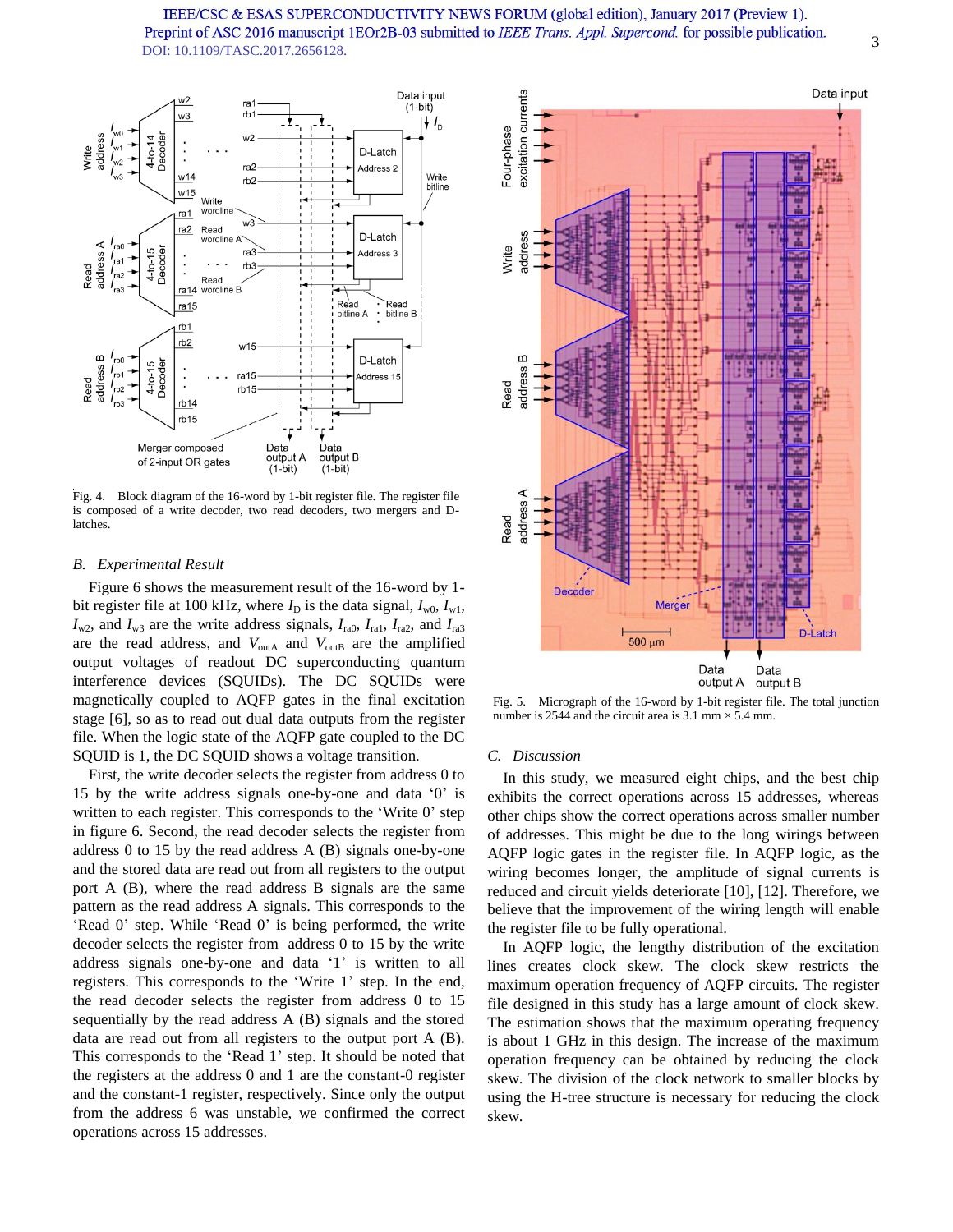

Fig. 4. Block diagram of the 16-word by 1-bit register file. The register file is composed of a write decoder, two read decoders, two mergers and Dlatches.

## *B. Experimental Result*

Figure 6 shows the measurement result of the 16-word by 1 bit register file at 100 kHz, where  $I_D$  is the data signal,  $I_{w0}$ ,  $I_{w1}$ ,  $I_{w2}$ , and  $I_{w3}$  are the write address signals,  $I_{ra0}$ ,  $I_{ra1}$ ,  $I_{ra2}$ , and  $I_{ra3}$ are the read address, and  $V_{\text{outA}}$  and  $V_{\text{outB}}$  are the amplified output voltages of readout DC superconducting quantum interference devices (SQUIDs). The DC SQUIDs were magnetically coupled to AQFP gates in the final excitation stage [6], so as to read out dual data outputs from the register file. When the logic state of the AQFP gate coupled to the DC SQUID is 1, the DC SQUID shows a voltage transition.

First, the write decoder selects the register from address 0 to 15 by the write address signals one-by-one and data '0' is written to each register. This corresponds to the 'Write 0' step in figure 6. Second, the read decoder selects the register from address 0 to 15 by the read address A (B) signals one-by-one and the stored data are read out from all registers to the output port A (B), where the read address B signals are the same pattern as the read address A signals. This corresponds to the 'Read 0' step. While 'Read 0' is being performed, the write decoder selects the register from address 0 to 15 by the write address signals one-by-one and data '1' is written to all registers. This corresponds to the 'Write 1' step. In the end, the read decoder selects the register from address 0 to 15 sequentially by the read address A (B) signals and the stored data are read out from all registers to the output port A (B). This corresponds to the 'Read 1' step. It should be noted that the registers at the address 0 and 1 are the constant-0 register and the constant-1 register, respectively. Since only the output from the address 6 was unstable, we confirmed the correct operations across 15 addresses.



Fig. 5. Micrograph of the 16-word by 1-bit register file. The total junction number is 2544 and the circuit area is  $3.1 \text{ mm} \times 5.4 \text{ mm}$ .

## *C. Discussion*

In this study, we measured eight chips, and the best chip exhibits the correct operations across 15 addresses, whereas other chips show the correct operations across smaller number of addresses. This might be due to the long wirings between AQFP logic gates in the register file. In AQFP logic, as the wiring becomes longer, the amplitude of signal currents is reduced and circuit yields deteriorate [10], [12]. Therefore, we believe that the improvement of the wiring length will enable the register file to be fully operational.

In AQFP logic, the lengthy distribution of the excitation lines creates clock skew. The clock skew restricts the maximum operation frequency of AQFP circuits. The register file designed in this study has a large amount of clock skew. The estimation shows that the maximum operating frequency is about 1 GHz in this design. The increase of the maximum operation frequency can be obtained by reducing the clock skew. The division of the clock network to smaller blocks by using the H-tree structure is necessary for reducing the clock skew.